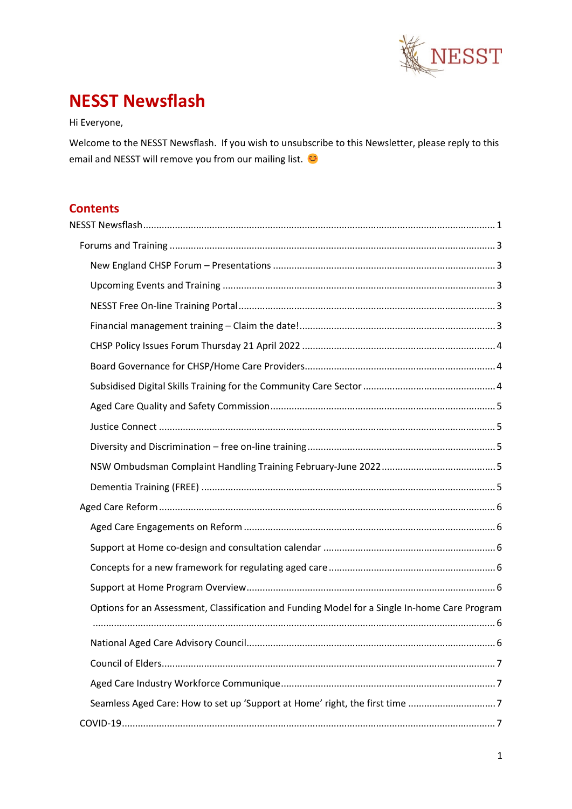

# <span id="page-0-0"></span>**NESST Newsflash**

Hi Everyone,

Welcome to the NESST Newsflash. If you wish to unsubscribe to this Newsletter, please reply to this email and NESST will remove you from our mailing list.

# **Contents**

| Options for an Assessment, Classification and Funding Model for a Single In-home Care Program |  |
|-----------------------------------------------------------------------------------------------|--|
|                                                                                               |  |
|                                                                                               |  |
|                                                                                               |  |
|                                                                                               |  |
|                                                                                               |  |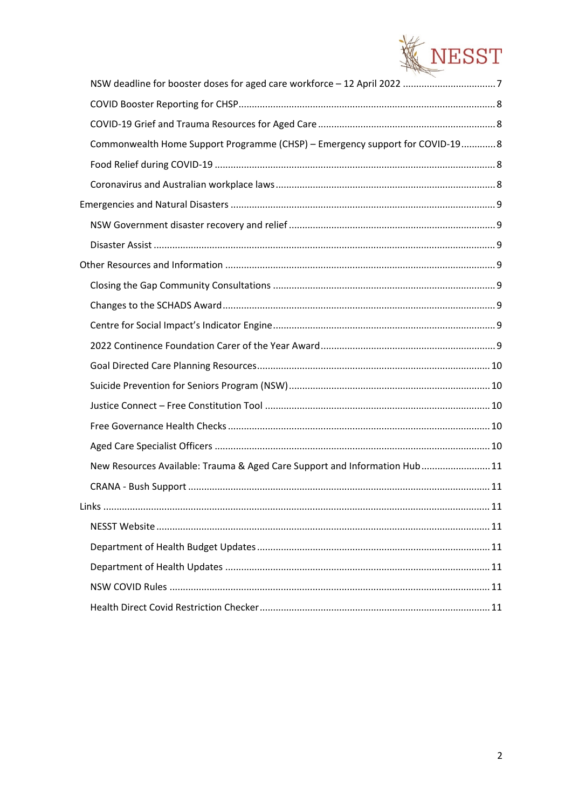

| Commonwealth Home Support Programme (CHSP) - Emergency support for COVID-19 8 |  |
|-------------------------------------------------------------------------------|--|
|                                                                               |  |
|                                                                               |  |
|                                                                               |  |
|                                                                               |  |
|                                                                               |  |
|                                                                               |  |
|                                                                               |  |
|                                                                               |  |
|                                                                               |  |
|                                                                               |  |
|                                                                               |  |
|                                                                               |  |
|                                                                               |  |
|                                                                               |  |
|                                                                               |  |
| New Resources Available: Trauma & Aged Care Support and Information Hub 11    |  |
|                                                                               |  |
|                                                                               |  |
|                                                                               |  |
|                                                                               |  |
|                                                                               |  |
|                                                                               |  |
|                                                                               |  |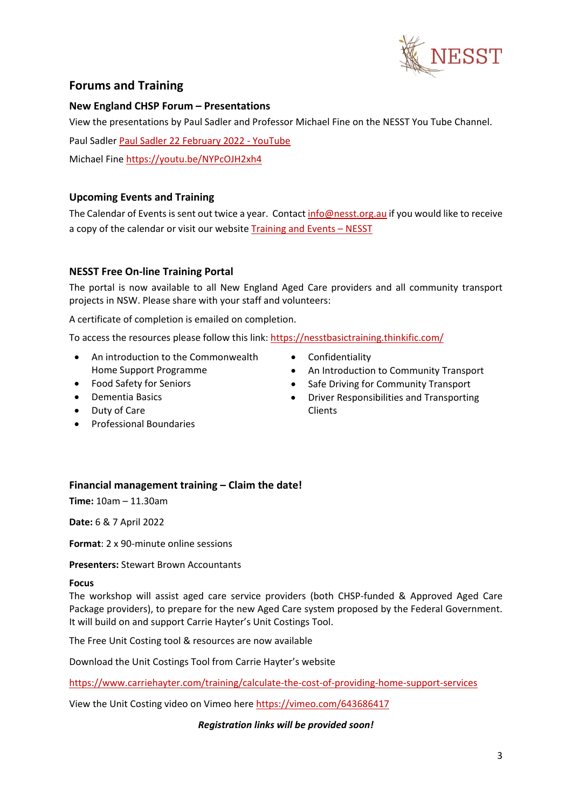

# <span id="page-2-0"></span>**Forums and Training**

# <span id="page-2-1"></span>**New England CHSP Forum – Presentations**

View the presentations by Paul Sadler and Professor Michael Fine on the NESST You Tube Channel.

Paul Sadler [Paul Sadler 22 February 2022 -](https://www.youtube.com/watch?v=j7qp-uiL8Qo) YouTube

Michael Fine<https://youtu.be/NYPcOJH2xh4>

# <span id="page-2-2"></span>**Upcoming Events and Training**

The Calendar of Events is sent out twice a year. Contac[t info@nesst.org.au](mailto:info@nesst.org.au) if you would like to receive a copy of the calendar or visit our websit[e Training and Events –](https://www.nesst.org.au/training-and-events/) NESST

# <span id="page-2-3"></span>**NESST Free On-line Training Portal**

The portal is now available to all New England Aged Care providers and all community transport projects in NSW. Please share with your staff and volunteers:

A certificate of completion is emailed on completion.

To access the resources please follow this link:<https://nesstbasictraining.thinkific.com/>

- An introduction to the Commonwealth Home Support Programme
- Food Safety for Seniors
- Dementia Basics
- Duty of Care
- Professional Boundaries
- Confidentiality
- An Introduction to Community Transport
- Safe Driving for Community Transport
- Driver Responsibilities and Transporting Clients

# <span id="page-2-4"></span>**Financial management training – Claim the date!**

**Time:** 10am – 11.30am

**Date:** 6 & 7 April 2022

**Format**: 2 x 90-minute online sessions

**Presenters:** Stewart Brown Accountants

#### **Focus**

The workshop will assist aged care service providers (both CHSP-funded & Approved Aged Care Package providers), to prepare for the new Aged Care system proposed by the Federal Government. It will build on and support Carrie Hayter's Unit Costings Tool.

The Free Unit Costing tool & resources are now available

Download the Unit Costings Tool from Carrie Hayter's website

[https://www.carriehayter.com/training/calculate-the-cost-of-providing-home-support-services](https://urldefense.proofpoint.com/v2/url?u=https-3A__www.carriehayter.com_training_calculate-2Dthe-2Dcost-2Dof-2Dproviding-2Dhome-2Dsupport-2Dservices&d=DwMFaQ&c=euGZstcaTDllvimEN8b7jXrwqOf-v5A_CdpgnVfiiMM&r=27gQ-C9wmV4GjuBokqzYhniUMAzlOMg5caVrT-72Vl8&m=I2B99H63suukimcyBt3D7SQPA_BP9zB5YPoeZTMmA6M&s=mVGNPcRYnPolfa2I56Jl6jEIlVa_PePJkADfTj8au2Q&e=)

View the Unit Costing video on Vimeo her[e https://vimeo.com/643686417](https://urldefense.proofpoint.com/v2/url?u=https-3A__vimeo.com_643686417&d=DwMFaQ&c=euGZstcaTDllvimEN8b7jXrwqOf-v5A_CdpgnVfiiMM&r=27gQ-C9wmV4GjuBokqzYhniUMAzlOMg5caVrT-72Vl8&m=I2B99H63suukimcyBt3D7SQPA_BP9zB5YPoeZTMmA6M&s=IydYSZmwnQkk1NxNkUy6EZZc4c0MYDddNp9xZk6W1jA&e=)

## *Registration links will be provided soon!*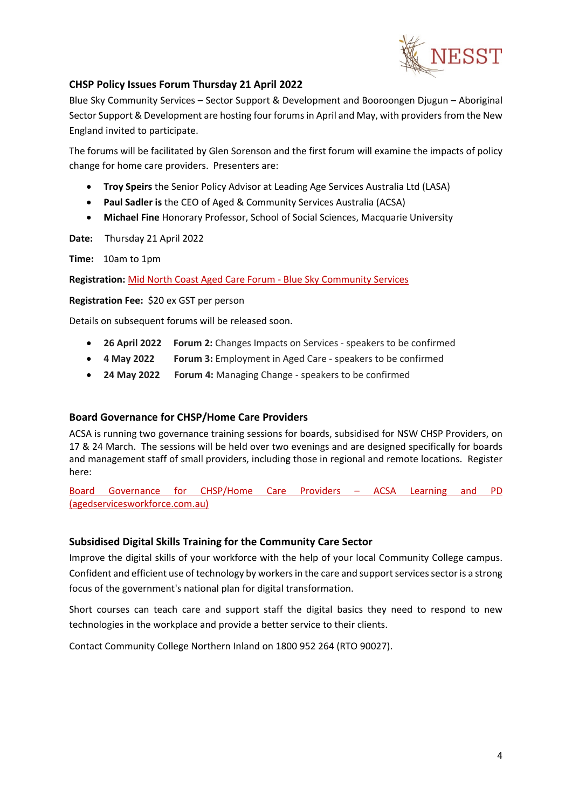

# <span id="page-3-0"></span>**CHSP Policy Issues Forum Thursday 21 April 2022**

Blue Sky Community Services – Sector Support & Development and Booroongen Djugun – Aboriginal Sector Support & Development are hosting four forums in April and May, with providers from the New England invited to participate.

The forums will be facilitated by Glen Sorenson and the first forum will examine the impacts of policy change for home care providers. Presenters are:

- **Troy Speirs** the Senior Policy Advisor at Leading Age Services Australia Ltd (LASA)
- **Paul Sadler is** the CEO of Aged & Community Services Australia (ACSA)
- **Michael Fine** Honorary Professor, School of Social Sciences, Macquarie University

**Date:** Thursday 21 April 2022

**Time:** 10am to 1pm

**Registration:** [Mid North Coast Aged Care Forum -](https://bluesky.org.au/events/mid-north-coast-aged-care-forum/) Blue Sky Community Services

**Registration Fee:** \$20 ex GST per person

Details on subsequent forums will be released soon.

- **26 April 2022 Forum 2:** Changes Impacts on Services speakers to be confirmed
- **4 May 2022 Forum 3:** Employment in Aged Care speakers to be confirmed
- **24 May 2022 Forum 4:** Managing Change speakers to be confirmed

## <span id="page-3-1"></span>**Board Governance for CHSP/Home Care Providers**

ACSA is running two governance training sessions for boards, subsidised for NSW CHSP Providers, on 17 & 24 March. The sessions will be held over two evenings and are designed specifically for boards and management staff of small providers, including those in regional and remote locations. Register here:

[Board Governance for CHSP/Home Care Providers –](https://www.agedservicesworkforce.com.au/event/board-governance-for-chsp-home-providers/) ACSA Learning and PD [\(agedservicesworkforce.com.au\)](https://www.agedservicesworkforce.com.au/event/board-governance-for-chsp-home-providers/)

## <span id="page-3-2"></span>**Subsidised Digital Skills Training for the Community Care Sector**

Improve the digital skills of your workforce with the help of your local Community College campus. Confident and efficient use of technology by workers in the care and support services sector is a strong focus of the government's national plan for digital transformation.

Short courses can teach care and support staff the digital basics they need to respond to new technologies in the workplace and provide a better service to their clients.

Contact Community College Northern Inland on 1800 952 264 (RTO 90027).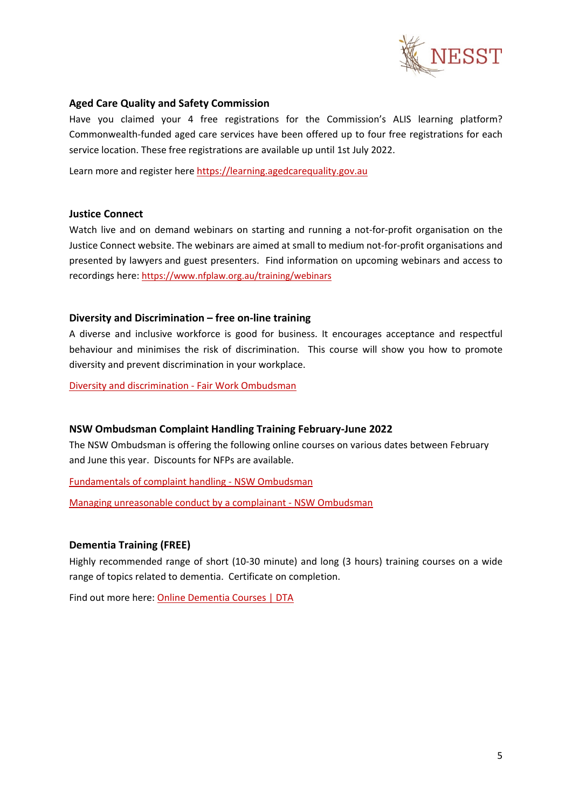

#### <span id="page-4-0"></span>**Aged Care Quality and Safety Commission**

Have you claimed your 4 free registrations for the Commission's ALIS learning platform? Commonwealth-funded aged care services have been offered up to four free registrations for each service location. These free registrations are available up until 1st July 2022.

Learn more and register here [https://learning.agedcarequality.gov.au](https://learning.agedcarequality.gov.au/)

#### <span id="page-4-1"></span>**Justice Connect**

Watch live and on demand webinars on starting and running a not-for-profit organisation on the Justice Connect website. The webinars are aimed at small to medium not-for-profit organisations and presented by lawyers and guest presenters. Find information on upcoming webinars and access to recordings here[: https://www.nfplaw.org.au/training/webinars](https://www.nfplaw.org.au/training/webinars)

#### <span id="page-4-2"></span>**Diversity and Discrimination – free on-line training**

A diverse and inclusive workforce is good for business. It encourages acceptance and respectful behaviour and minimises the risk of discrimination. This course will show you how to promote diversity and prevent discrimination in your workplace.

[Diversity and discrimination -](https://www.fairwork.gov.au/tools-and-resources/online-learning-centre/diversity-and-discrimination) Fair Work Ombudsman

#### <span id="page-4-3"></span>**NSW Ombudsman Complaint Handling Training February-June 2022**

The NSW Ombudsman is offering the following online courses on various dates between February and June this year. Discounts for NFPs are available.

[Fundamentals of complaint handling -](https://www.ombo.nsw.gov.au/training-workshops-and-events/our-workshops/complaint-handling-training/FCH) NSW Ombudsman

[Managing unreasonable conduct by a complainant -](https://www.ombo.nsw.gov.au/training-workshops-and-events/our-workshops/complaint-handling-training/managing-unreasonable-conduct-by-complainants) NSW Ombudsman

#### <span id="page-4-4"></span>**Dementia Training (FREE)**

Highly recommended range of short (10-30 minute) and long (3 hours) training courses on a wide range of topics related to dementia. Certificate on completion.

Find out more here: [Online Dementia Courses | DTA](https://dta.com.au/online-dementia-courses/)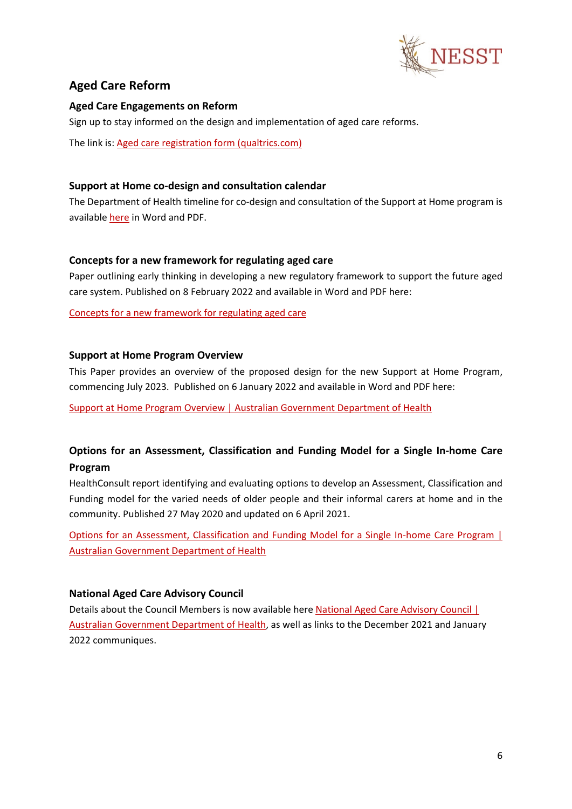

# <span id="page-5-0"></span>**Aged Care Reform**

# <span id="page-5-1"></span>**Aged Care Engagements on Reform**

Sign up to stay informed on the design and implementation of aged care reforms.

The link is[: Aged care registration form \(qualtrics.com\)](https://healthau.au1.qualtrics.com/jfe/form/SV_2tWXoF3uTem0tdc)

# <span id="page-5-2"></span>**Support at Home co-design and consultation calendar**

The Department of Health timeline for co-design and consultation of the Support at Home program is available [here](https://www.health.gov.au/resources/publications/support-at-home-co-design-and-consultation-calendar) in Word and PDF.

# <span id="page-5-3"></span>**Concepts for a new framework for regulating aged care**

Paper outlining early thinking in developing a new regulatory framework to support the future aged care system. Published on 8 February 2022 and available in Word and PDF here:

[Concepts for a new framework for regulating aged care](https://www.health.gov.au/news/release-of-the-concept-paper-concepts-for-a-new-framework-for-regulating-aged-care)

## <span id="page-5-4"></span>**Support at Home Program Overview**

This Paper provides an overview of the proposed design for the new Support at Home Program, commencing July 2023. Published on 6 January 2022 and available in Word and PDF here:

[Support at Home Program Overview | Australian Government Department of Health](https://www.health.gov.au/resources/publications/support-at-home-program-overview)

# <span id="page-5-5"></span>**Options for an Assessment, Classification and Funding Model for a Single In-home Care Program**

HealthConsult report identifying and evaluating options to develop an Assessment, Classification and Funding model for the varied needs of older people and their informal carers at home and in the community. Published 27 May 2020 and updated on 6 April 2021.

[Options for an Assessment, Classification and Funding Model for a Single In-home Care Program |](https://www.health.gov.au/resources/publications/options-for-an-assessment-classification-and-funding-model-for-a-single-in-home-care-program)  [Australian Government Department of Health](https://www.health.gov.au/resources/publications/options-for-an-assessment-classification-and-funding-model-for-a-single-in-home-care-program)

# <span id="page-5-6"></span>**National Aged Care Advisory Council**

Details about the Council Members is now available her[e National Aged Care Advisory Council |](https://www.health.gov.au/committees-and-groups/national-aged-care-advisory-council)  [Australian Government Department of Health,](https://www.health.gov.au/committees-and-groups/national-aged-care-advisory-council) as well as links to the December 2021 and January 2022 communiques.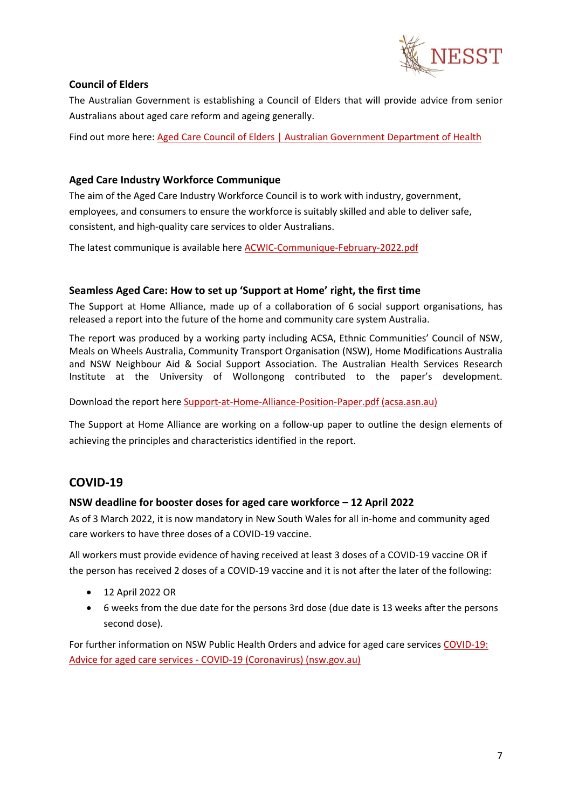

# <span id="page-6-0"></span>**Council of Elders**

The Australian Government is establishing a Council of Elders that will provide advice from senior Australians about aged care reform and ageing generally.

Find out more here: [Aged Care Council of Elders | Australian Government Department of Health](https://www.health.gov.au/committees-and-groups/aged-care-council-of-elders#related-committees-or-groups)

# <span id="page-6-1"></span>**Aged Care Industry Workforce Communique**

The aim of the Aged Care Industry Workforce Council is to work with industry, government, employees, and consumers to ensure the workforce is suitably skilled and able to deliver safe, consistent, and high-quality care services to older Australians.

The latest communique is available here [ACWIC-Communique-February-2022.pdf](https://acwic.com.au/wp-content/uploads/ACWIC-Communique-February-2022.pdf)

## <span id="page-6-2"></span>**Seamless Aged Care: How to set up 'Support at Home' right, the first time**

The Support at Home Alliance, made up of a collaboration of 6 social support organisations, has released a report into the future of the home and community care system Australia.

The report was produced by a working party including ACSA, Ethnic Communities' Council of NSW, Meals on Wheels Australia, Community Transport Organisation (NSW), Home Modifications Australia and NSW Neighbour Aid & Social Support Association. The Australian Health Services Research Institute at the University of Wollongong contributed to the paper's development.

Download the report here [Support-at-Home-Alliance-Position-Paper.pdf \(acsa.asn.au\)](https://acsa.asn.au/ACSA/media/General/Support-at-Home-Alliance-Position-Paper.pdf)

The Support at Home Alliance are working on a follow-up paper to outline the design elements of achieving the principles and characteristics identified in the report.

# <span id="page-6-3"></span>**COVID-19**

## <span id="page-6-4"></span>**NSW deadline for booster doses for aged care workforce – 12 April 2022**

As of 3 March 2022, it is now mandatory in New South Wales for all in-home and community aged care workers to have three doses of a COVID-19 vaccine.

All workers must provide evidence of having received at least 3 doses of a COVID-19 vaccine OR if the person has received 2 doses of a COVID-19 vaccine and it is not after the later of the following:

- 12 April 2022 OR
- 6 weeks from the due date for the persons 3rd dose (due date is 13 weeks after the persons second dose).

For further information on NSW Public Health Orders and advice for aged care services [COVID-19:](https://www.health.nsw.gov.au/Infectious/covid-19/Pages/aged-care.aspx)  Advice for aged care services - [COVID-19 \(Coronavirus\) \(nsw.gov.au\)](https://www.health.nsw.gov.au/Infectious/covid-19/Pages/aged-care.aspx)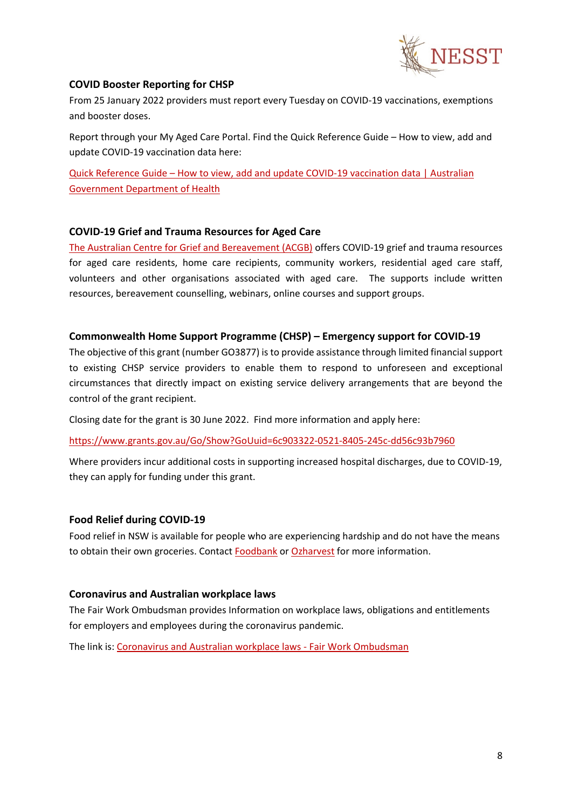

## <span id="page-7-0"></span>**COVID Booster Reporting for CHSP**

From 25 January 2022 providers must report every Tuesday on COVID-19 vaccinations, exemptions and booster doses.

Report through your My Aged Care Portal. Find the Quick Reference Guide – How to view, add and update COVID-19 vaccination data here:

Quick Reference Guide – [How to view, add and update COVID-19 vaccination data | Australian](https://www.health.gov.au/resources/publications/quick-reference-guide-how-to-view-add-and-update-covid-19-vaccination-data)  [Government Department of Health](https://www.health.gov.au/resources/publications/quick-reference-guide-how-to-view-add-and-update-covid-19-vaccination-data)

## <span id="page-7-1"></span>**COVID-19 Grief and Trauma Resources for Aged Care**

[The Australian Centre for Grief and Bereavement \(ACGB\)](https://aged.grief.org.au/) offers COVID-19 grief and trauma resources for aged care residents, home care recipients, community workers, residential aged care staff, volunteers and other organisations associated with aged care. The supports include written resources, bereavement counselling, webinars, online courses and support groups.

#### <span id="page-7-2"></span>**Commonwealth Home Support Programme (CHSP) – Emergency support for COVID-19**

The objective of this grant (number GO3877) is to provide assistance through limited financial support to existing CHSP service providers to enable them to respond to unforeseen and exceptional circumstances that directly impact on existing service delivery arrangements that are beyond the control of the grant recipient.

Closing date for the grant is 30 June 2022. Find more information and apply here:

<https://www.grants.gov.au/Go/Show?GoUuid=6c903322-0521-8405-245c-dd56c93b7960>

Where providers incur additional costs in supporting increased hospital discharges, due to COVID-19, they can apply for funding under this grant.

## <span id="page-7-3"></span>**Food Relief during COVID-19**

Food relief in NSW is available for people who are experiencing hardship and do not have the means to obtain their own groceries. Contact [Foodbank](https://www.foodbank.org.au/?state=nsw-act) or [Ozharvest](https://www.ozharvest.org/) for more information.

## <span id="page-7-4"></span>**Coronavirus and Australian workplace laws**

The Fair Work Ombudsman provides Information on workplace laws, obligations and entitlements for employers and employees during the coronavirus pandemic.

The link is[: Coronavirus and Australian workplace laws -](https://coronavirus.fairwork.gov.au/) Fair Work Ombudsman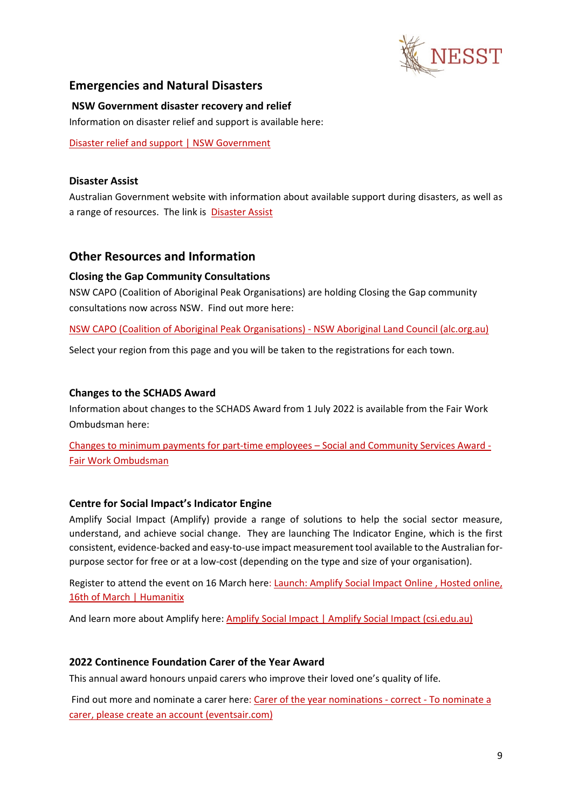

# <span id="page-8-0"></span>**Emergencies and Natural Disasters**

#### <span id="page-8-1"></span>**NSW Government disaster recovery and relief**

Information on disaster relief and support is available here:

[Disaster relief and support | NSW Government](https://www.nsw.gov.au/disaster-recovery/disaster-relief-and-support)

#### <span id="page-8-2"></span>**Disaster Assist**

Australian Government website with information about available support during disasters, as well as a range of resources. The link is [Disaster Assist](https://www.disasterassist.gov.au/)

# <span id="page-8-3"></span>**Other Resources and Information**

#### <span id="page-8-4"></span>**Closing the Gap Community Consultations**

NSW CAPO (Coalition of Aboriginal Peak Organisations) are holding Closing the Gap community consultations now across NSW. Find out more here:

[NSW CAPO \(Coalition of Aboriginal Peak Organisations\) -](https://alc.org.au/nsw-capo/) NSW Aboriginal Land Council (alc.org.au)

Select your region from this page and you will be taken to the registrations for each town.

#### <span id="page-8-5"></span>**Changes to the SCHADS Award**

Information about changes to the SCHADS Award from 1 July 2022 is available from the Fair Work Ombudsman here:

[Changes to minimum payments for part-time employees –](https://www.fairwork.gov.au/newsroom/news/changes-minimum-payments-part-time-employees-social-and-community-services-award) Social and Community Services Award - [Fair Work Ombudsman](https://www.fairwork.gov.au/newsroom/news/changes-minimum-payments-part-time-employees-social-and-community-services-award)

## <span id="page-8-6"></span>**Centre for Social Impact's Indicator Engine**

Amplify Social Impact (Amplify) provide a range of solutions to help the social sector measure, understand, and achieve social change. They are launching The Indicator Engine, which is the first consistent, evidence-backed and easy-to-use impact measurement tool available to the Australian forpurpose sector for free or at a low-cost (depending on the type and size of your organisation).

Register to attend the event on 16 March here: [Launch: Amplify Social Impact Online , Hosted online,](https://events.humanitix.com/amplify-social-impact-online-launch)  [16th of March | Humanitix](https://events.humanitix.com/amplify-social-impact-online-launch)

And learn more about Amplify here: [Amplify Social Impact | Amplify Social Impact \(csi.edu.au\)](https://amplify.csi.edu.au/)

## <span id="page-8-7"></span>**2022 Continence Foundation Carer of the Year Award**

This annual award honours unpaid carers who improve their loved one's quality of life.

Find out more and nominate a carer here: [Carer of the year nominations -](https://continence.eventsair.com/ncoi2022/carer-nominations-details/Site/Register) correct - To nominate a [carer, please create an account \(eventsair.com\)](https://continence.eventsair.com/ncoi2022/carer-nominations-details/Site/Register)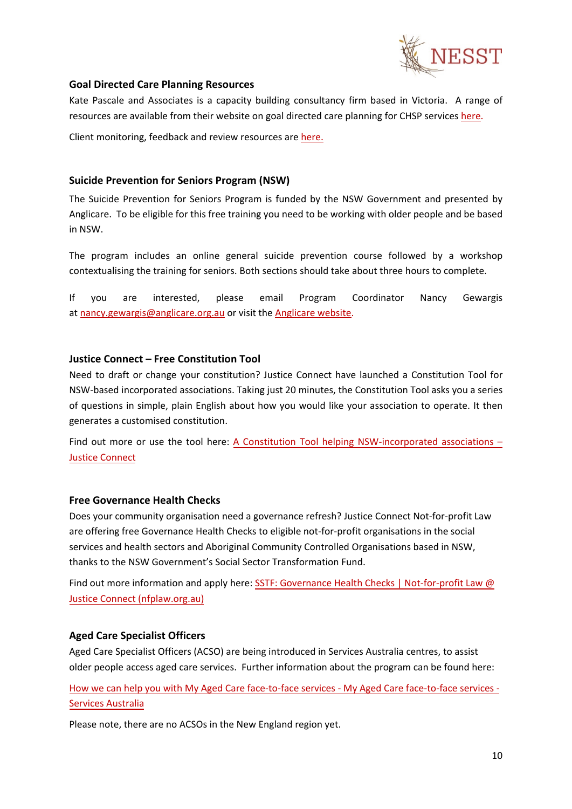

#### <span id="page-9-0"></span>**Goal Directed Care Planning Resources**

Kate Pascale and Associates is a capacity building consultancy firm based in Victoria. A range of resources are available from their website on goal directed care planning for CHSP services [here.](https://kpassoc.com.au/resources/gdcp-resources/)

Client monitoring, feedback and review resources are [here.](https://kpassoc.com.au/wp-content/uploads/2019/07/Monitoring-Feedback-and-Review-of-service-specific-care-plans_On-Line.pdf)

#### <span id="page-9-1"></span>**Suicide Prevention for Seniors Program (NSW)**

The Suicide Prevention for Seniors Program is funded by the NSW Government and presented by Anglicare. To be eligible for this free training you need to be working with older people and be based in NSW.

The program includes an online general suicide prevention course followed by a workshop contextualising the training for seniors. Both sections should take about three hours to complete.

If you are interested, please email Program Coordinator Nancy Gewargis at [nancy.gewargis@anglicare.org.au](mailto:nancy.gewargis@anglicare.org.au) or visit the [Anglicare website.](https://www.anglicare.org.au/what-we-offer/mental-health/suicide-prevention-for-seniors/)

#### <span id="page-9-2"></span>**Justice Connect – Free Constitution Tool**

Need to draft or change your constitution? Justice Connect have launched a Constitution Tool for NSW-based incorporated associations. Taking just 20 minutes, the Constitution Tool asks you a series of questions in simple, plain English about how you would like your association to operate. It then generates a customised constitution.

Find out more or use the tool here: A Constitution Tool [helping NSW-incorporated associations –](https://justiceconnect.org.au/fairmatters/new-constitution-tool-helping-nsw-incorporated-associations/) [Justice Connect](https://justiceconnect.org.au/fairmatters/new-constitution-tool-helping-nsw-incorporated-associations/)

## <span id="page-9-3"></span>**Free Governance Health Checks**

Does your community organisation need a governance refresh? Justice Connect Not-for-profit Law are offering free Governance Health Checks to eligible not-for-profit organisations in the social services and health sectors and Aboriginal Community Controlled Organisations based in NSW, thanks to the NSW Government's Social Sector Transformation Fund.

Find out more information and apply here: [SSTF: Governance Health Checks | Not-for-profit Law @](https://nfplaw.org.au/sstf-governance-health-checks) [Justice Connect \(nfplaw.org.au\)](https://nfplaw.org.au/sstf-governance-health-checks)

## <span id="page-9-4"></span>**Aged Care Specialist Officers**

Aged Care Specialist Officers (ACSO) are being introduced in Services Australia centres, to assist older people access aged care services. Further information about the program can be found here:

How we can [help you with My Aged Care face-to-face services - My Aged Care face-to-face services -](https://www.servicesaustralia.gov.au/how-we-can-help-you-with-my-aged-care-face-to-face-services?context=55715)  [Services Australia](https://www.servicesaustralia.gov.au/how-we-can-help-you-with-my-aged-care-face-to-face-services?context=55715)

Please note, there are no ACSOs in the New England region yet.